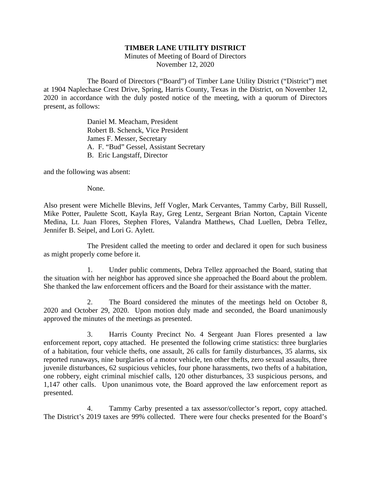## **TIMBER LANE UTILITY DISTRICT**

Minutes of Meeting of Board of Directors November 12, 2020

The Board of Directors ("Board") of Timber Lane Utility District ("District") met at 1904 Naplechase Crest Drive, Spring, Harris County, Texas in the District, on November 12, 2020 in accordance with the duly posted notice of the meeting, with a quorum of Directors present, as follows:

> Daniel M. Meacham, President Robert B. Schenck, Vice President James F. Messer, Secretary A. F. "Bud" Gessel, Assistant Secretary B. Eric Langstaff, Director

and the following was absent:

None.

Also present were Michelle Blevins, Jeff Vogler, Mark Cervantes, Tammy Carby, Bill Russell, Mike Potter, Paulette Scott, Kayla Ray, Greg Lentz, Sergeant Brian Norton, Captain Vicente Medina, Lt. Juan Flores, Stephen Flores, Valandra Matthews, Chad Luellen, Debra Tellez, Jennifer B. Seipel, and Lori G. Aylett.

The President called the meeting to order and declared it open for such business as might properly come before it.

1. Under public comments, Debra Tellez approached the Board, stating that the situation with her neighbor has approved since she approached the Board about the problem. She thanked the law enforcement officers and the Board for their assistance with the matter.

2. The Board considered the minutes of the meetings held on October 8, 2020 and October 29, 2020. Upon motion duly made and seconded, the Board unanimously approved the minutes of the meetings as presented.

3. Harris County Precinct No. 4 Sergeant Juan Flores presented a law enforcement report, copy attached. He presented the following crime statistics: three burglaries of a habitation, four vehicle thefts, one assault, 26 calls for family disturbances, 35 alarms, six reported runaways, nine burglaries of a motor vehicle, ten other thefts, zero sexual assaults, three juvenile disturbances, 62 suspicious vehicles, four phone harassments, two thefts of a habitation, one robbery, eight criminal mischief calls, 120 other disturbances, 33 suspicious persons, and 1,147 other calls. Upon unanimous vote, the Board approved the law enforcement report as presented.

4. Tammy Carby presented a tax assessor/collector's report, copy attached. The District's 2019 taxes are 99% collected. There were four checks presented for the Board's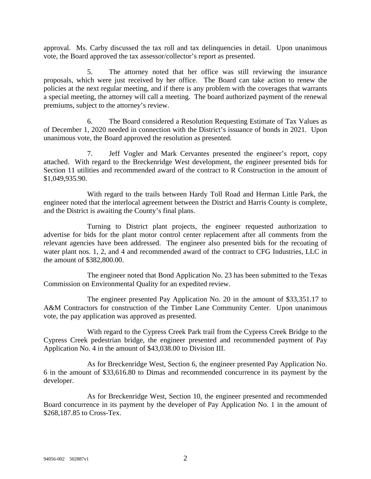approval. Ms. Carby discussed the tax roll and tax delinquencies in detail. Upon unanimous vote, the Board approved the tax assessor/collector's report as presented.

5. The attorney noted that her office was still reviewing the insurance proposals, which were just received by her office. The Board can take action to renew the policies at the next regular meeting, and if there is any problem with the coverages that warrants a special meeting, the attorney will call a meeting. The board authorized payment of the renewal premiums, subject to the attorney's review.

6. The Board considered a Resolution Requesting Estimate of Tax Values as of December 1, 2020 needed in connection with the District's issuance of bonds in 2021. Upon unanimous vote, the Board approved the resolution as presented.

7. Jeff Vogler and Mark Cervantes presented the engineer's report, copy attached. With regard to the Breckenridge West development, the engineer presented bids for Section 11 utilities and recommended award of the contract to R Construction in the amount of \$1,049,935.90.

With regard to the trails between Hardy Toll Road and Herman Little Park, the engineer noted that the interlocal agreement between the District and Harris County is complete, and the District is awaiting the County's final plans.

Turning to District plant projects, the engineer requested authorization to advertise for bids for the plant motor control center replacement after all comments from the relevant agencies have been addressed. The engineer also presented bids for the recoating of water plant nos. 1, 2, and 4 and recommended award of the contract to CFG Industries, LLC in the amount of \$382,800.00.

The engineer noted that Bond Application No. 23 has been submitted to the Texas Commission on Environmental Quality for an expedited review.

The engineer presented Pay Application No. 20 in the amount of \$33,351.17 to A&M Contractors for construction of the Timber Lane Community Center. Upon unanimous vote, the pay application was approved as presented.

With regard to the Cypress Creek Park trail from the Cypress Creek Bridge to the Cypress Creek pedestrian bridge, the engineer presented and recommended payment of Pay Application No. 4 in the amount of \$43,038.00 to Division III.

As for Breckenridge West, Section 6, the engineer presented Pay Application No. 6 in the amount of \$33,616.80 to Dimas and recommended concurrence in its payment by the developer.

As for Breckenridge West, Section 10, the engineer presented and recommended Board concurrence in its payment by the developer of Pay Application No. 1 in the amount of \$268,187.85 to Cross-Tex.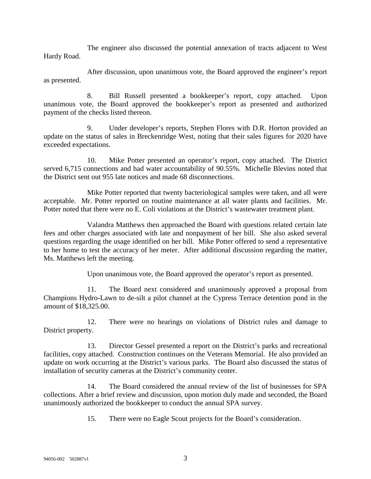The engineer also discussed the potential annexation of tracts adjacent to West Hardy Road.

After discussion, upon unanimous vote, the Board approved the engineer's report as presented.

8. Bill Russell presented a bookkeeper's report, copy attached. Upon unanimous vote, the Board approved the bookkeeper's report as presented and authorized payment of the checks listed thereon.

9. Under developer's reports, Stephen Flores with D.R. Horton provided an update on the status of sales in Breckenridge West, noting that their sales figures for 2020 have exceeded expectations.

10. Mike Potter presented an operator's report, copy attached. The District served 6,715 connections and had water accountability of 90.55%. Michelle Blevins noted that the District sent out 955 late notices and made 68 disconnections.

Mike Potter reported that twenty bacteriological samples were taken, and all were acceptable. Mr. Potter reported on routine maintenance at all water plants and facilities. Mr. Potter noted that there were no E. Coli violations at the District's wastewater treatment plant.

Valandra Matthews then approached the Board with questions related certain late fees and other charges associated with late and nonpayment of her bill. She also asked several questions regarding the usage identified on her bill. Mike Potter offered to send a representative to her home to test the accuracy of her meter. After additional discussion regarding the matter, Ms. Matthews left the meeting.

Upon unanimous vote, the Board approved the operator's report as presented.

11. The Board next considered and unanimously approved a proposal from Champions Hydro-Lawn to de-silt a pilot channel at the Cypress Terrace detention pond in the amount of \$18,325.00.

12. There were no hearings on violations of District rules and damage to District property.

13. Director Gessel presented a report on the District's parks and recreational facilities, copy attached. Construction continues on the Veterans Memorial. He also provided an update on work occurring at the District's various parks. The Board also discussed the status of installation of security cameras at the District's community center.

14. The Board considered the annual review of the list of businesses for SPA collections. After a brief review and discussion, upon motion duly made and seconded, the Board unanimously authorized the bookkeeper to conduct the annual SPA survey.

15. There were no Eagle Scout projects for the Board's consideration.